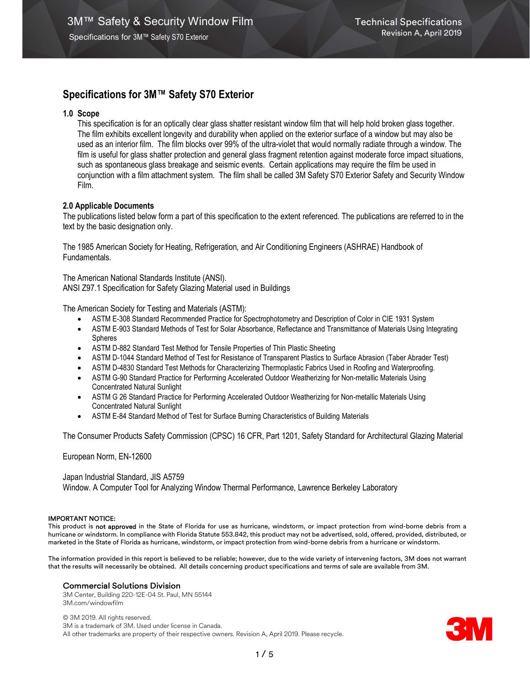# 1.0 Scope

This specification is for an optically clear glass shatter resistant window film that will help hold broken glass together. The film exhibits excellent longevity and durability when applied on the exterior surface of a window but may also be used as an interior film. The film blocks over 99% of the ultra-violet that would normally radiate through a window. The film is useful for glass shatter protection and general glass fragment retention against moderate force impact situations, such as spontaneous glass breakage and seismic events. Certain applications may require the film be used in conjunction with a film attachment system. The film shall be called 3M Safety S70 Exterior Safety and Security Window Film.

# 2.0 Applicable Documents

The publications listed below form a part of this specification to the extent referenced. The publications are referred to in the text by the basic designation only.

The 1985 American Society for Heating, Refrigeration, and Air Conditioning Engineers (ASHRAE) Handbook of Fundamentals.

The American National Standards Institute (ANSI). ANSI Z97.1 Specification for Safety Glazing Material used in Buildings

The American Society for Testing and Materials (ASTM):

- ASTM E-308 Standard Recommended Practice for Spectrophotometry and Description of Color in CIE 1931 System
- ASTM E-903 Standard Methods of Test for Solar Absorbance, Reflectance and Transmittance of Materials Using Integrating Spheres
- ASTM D-882 Standard Test Method for Tensile Properties of Thin Plastic Sheeting
- ASTM D-1044 Standard Method of Test for Resistance of Transparent Plastics to Surface Abrasion (Taber Abrader Test)
- ASTM D-4830 Standard Test Methods for Characterizing Thermoplastic Fabrics Used in Roofing and Waterproofing.
- ASTM G-90 Standard Practice for Performing Accelerated Outdoor Weatherizing for Non-metallic Materials Using Concentrated Natural Sunlight
- ASTM G 26 Standard Practice for Performing Accelerated Outdoor Weatherizing for Non-metallic Materials Using Concentrated Natural Sunlight
- ASTM E-84 Standard Method of Test for Surface Burning Characteristics of Building Materials

The Consumer Products Safety Commission (CPSC) 16 CFR, Part 1201, Safety Standard for Architectural Glazing Material

European Norm, EN-12600

Japan Industrial Standard, JIS A5759 Window. A Computer Tool for Analyzing Window Thermal Performance, Lawrence Berkeley Laboratory

#### IMPORTANT NOTICE:

This product is not approved in the State of Florida for use as hurricane, windstorm, or impact protection from wind-borne debris from a hurricane or windstorm. In compliance with Florida Statute 553.842, this product may not be advertised, sold, offered, provided, distributed, or marketed in the State of Florida as hurricane, windstorm, or impact protection from wind-borne debris from a hurricane or windstorm.

The information provided in this report is believed to be reliable; however, due to the wide variety of intervening factors, 3M does not warrant that the results will necessarily be obtained. All details concerning product specifications and terms of sale are available from 3M.

# Commercial Solutions Division

3M Center, Building 220-12E-04 St. Paul, MN 55144 3M.com/windowfilm

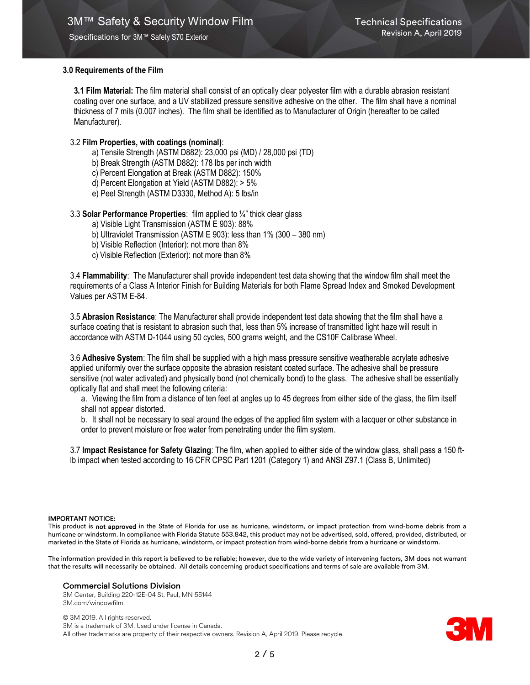# 3.0 Requirements of the Film

3.1 Film Material: The film material shall consist of an optically clear polyester film with a durable abrasion resistant coating over one surface, and a UV stabilized pressure sensitive adhesive on the other. The film shall have a nominal thickness of 7 mils (0.007 inches). The film shall be identified as to Manufacturer of Origin (hereafter to be called Manufacturer).

# 3.2 Film Properties, with coatings (nominal):

- a) Tensile Strength (ASTM D882): 23,000 psi (MD) / 28,000 psi (TD)
- b) Break Strength (ASTM D882): 178 lbs per inch width
- c) Percent Elongation at Break (ASTM D882): 150%
- d) Percent Elongation at Yield (ASTM D882): > 5%
- e) Peel Strength (ASTM D3330, Method A): 5 lbs/in

# 3.3 Solar Performance Properties: film applied to ¼" thick clear glass

- a) Visible Light Transmission (ASTM E 903): 88%
- b) Ultraviolet Transmission (ASTM E 903): less than 1% (300 380 nm)
- b) Visible Reflection (Interior): not more than 8%
- c) Visible Reflection (Exterior): not more than 8%

3.4 Flammability: The Manufacturer shall provide independent test data showing that the window film shall meet the requirements of a Class A Interior Finish for Building Materials for both Flame Spread Index and Smoked Development Values per ASTM E-84.

3.5 Abrasion Resistance: The Manufacturer shall provide independent test data showing that the film shall have a surface coating that is resistant to abrasion such that, less than 5% increase of transmitted light haze will result in accordance with ASTM D-1044 using 50 cycles, 500 grams weight, and the CS10F Calibrase Wheel.

3.6 Adhesive System: The film shall be supplied with a high mass pressure sensitive weatherable acrylate adhesive applied uniformly over the surface opposite the abrasion resistant coated surface. The adhesive shall be pressure sensitive (not water activated) and physically bond (not chemically bond) to the glass. The adhesive shall be essentially optically flat and shall meet the following criteria:

a. Viewing the film from a distance of ten feet at angles up to 45 degrees from either side of the glass, the film itself shall not appear distorted.

b. It shall not be necessary to seal around the edges of the applied film system with a lacquer or other substance in order to prevent moisture or free water from penetrating under the film system.

3.7 Impact Resistance for Safety Glazing: The film, when applied to either side of the window glass, shall pass a 150 ftlb impact when tested according to 16 CFR CPSC Part 1201 (Category 1) and ANSI Z97.1 (Class B, Unlimited)

#### IMPORTANT NOTICE:

This product is not approved in the State of Florida for use as hurricane, windstorm, or impact protection from wind-borne debris from a hurricane or windstorm. In compliance with Florida Statute 553.842, this product may not be advertised, sold, offered, provided, distributed, or marketed in the State of Florida as hurricane, windstorm, or impact protection from wind-borne debris from a hurricane or windstorm.

The information provided in this report is believed to be reliable; however, due to the wide variety of intervening factors, 3M does not warrant that the results will necessarily be obtained. All details concerning product specifications and terms of sale are available from 3M.

#### Commercial Solutions Division

3M Center, Building 220-12E-04 St. Paul, MN 55144 3M.com/windowfilm

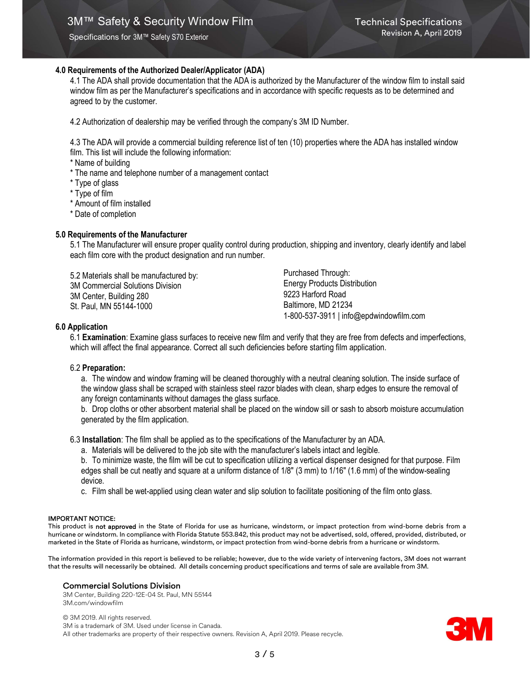# 4.0 Requirements of the Authorized Dealer/Applicator (ADA)

4.1 The ADA shall provide documentation that the ADA is authorized by the Manufacturer of the window film to install said window film as per the Manufacturer's specifications and in accordance with specific requests as to be determined and agreed to by the customer.

4.2 Authorization of dealership may be verified through the company's 3M ID Number.

4.3 The ADA will provide a commercial building reference list of ten (10) properties where the ADA has installed window film. This list will include the following information:

\* Name of building

- \* The name and telephone number of a management contact
- \* Type of glass
- \* Type of film
- \* Amount of film installed
- \* Date of completion

### 5.0 Requirements of the Manufacturer

5.1 The Manufacturer will ensure proper quality control during production, shipping and inventory, clearly identify and label each film core with the product designation and run number.

5.2 Materials shall be manufactured by: 3M Commercial Solutions Division 3M Center, Building 280 St. Paul, MN 55144-1000

Purchased Through: Energy Products Distribution 9223 Harford Road Baltimore, MD 21234 1-800-537-3911 | info@epdwindowfilm.com

### 6.0 Application

6.1 Examination: Examine glass surfaces to receive new film and verify that they are free from defects and imperfections, which will affect the final appearance. Correct all such deficiencies before starting film application.

#### 6.2 Preparation:

a. The window and window framing will be cleaned thoroughly with a neutral cleaning solution. The inside surface of the window glass shall be scraped with stainless steel razor blades with clean, sharp edges to ensure the removal of any foreign contaminants without damages the glass surface.

b. Drop cloths or other absorbent material shall be placed on the window sill or sash to absorb moisture accumulation generated by the film application.

6.3 Installation: The film shall be applied as to the specifications of the Manufacturer by an ADA.

- a. Materials will be delivered to the job site with the manufacturer's labels intact and legible.
- b. To minimize waste, the film will be cut to specification utilizing a vertical dispenser designed for that purpose. Film edges shall be cut neatly and square at a uniform distance of 1/8" (3 mm) to 1/16" (1.6 mm) of the window-sealing device.
- c. Film shall be wet-applied using clean water and slip solution to facilitate positioning of the film onto glass.

#### IMPORTANT NOTICE:

This product is not approved in the State of Florida for use as hurricane, windstorm, or impact protection from wind-borne debris from a hurricane or windstorm. In compliance with Florida Statute 553.842, this product may not be advertised, sold, offered, provided, distributed, or marketed in the State of Florida as hurricane, windstorm, or impact protection from wind-borne debris from a hurricane or windstorm.

The information provided in this report is believed to be reliable; however, due to the wide variety of intervening factors, 3M does not warrant that the results will necessarily be obtained. All details concerning product specifications and terms of sale are available from 3M.

#### Commercial Solutions Division

3M Center, Building 220-12E-04 St. Paul, MN 55144 3M.com/windowfilm

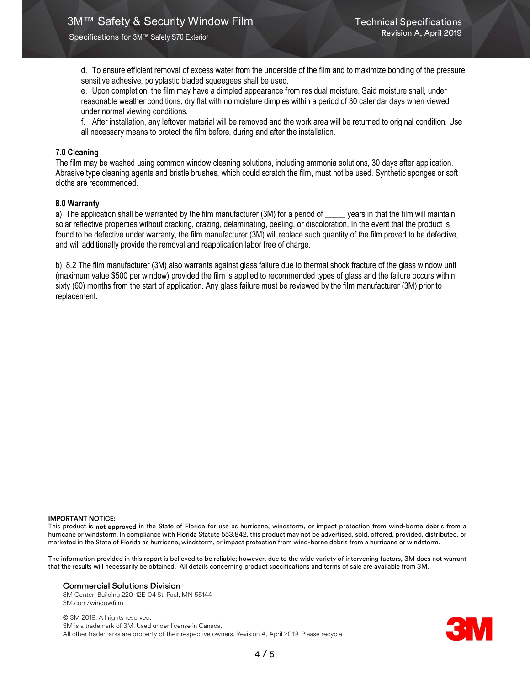d. To ensure efficient removal of excess water from the underside of the film and to maximize bonding of the pressure sensitive adhesive, polyplastic bladed squeegees shall be used.

e. Upon completion, the film may have a dimpled appearance from residual moisture. Said moisture shall, under reasonable weather conditions, dry flat with no moisture dimples within a period of 30 calendar days when viewed under normal viewing conditions.

f. After installation, any leftover material will be removed and the work area will be returned to original condition. Use all necessary means to protect the film before, during and after the installation.

# 7.0 Cleaning

The film may be washed using common window cleaning solutions, including ammonia solutions, 30 days after application. Abrasive type cleaning agents and bristle brushes, which could scratch the film, must not be used. Synthetic sponges or soft cloths are recommended.

# 8.0 Warranty

a) The application shall be warranted by the film manufacturer (3M) for a period of \_\_\_\_\_ years in that the film will maintain solar reflective properties without cracking, crazing, delaminating, peeling, or discoloration. In the event that the product is found to be defective under warranty, the film manufacturer (3M) will replace such quantity of the film proved to be defective, and will additionally provide the removal and reapplication labor free of charge.

b) 8.2 The film manufacturer (3M) also warrants against glass failure due to thermal shock fracture of the glass window unit (maximum value \$500 per window) provided the film is applied to recommended types of glass and the failure occurs within sixty (60) months from the start of application. Any glass failure must be reviewed by the film manufacturer (3M) prior to replacement.

#### IMPORTANT NOTICE:

This product is not approved in the State of Florida for use as hurricane, windstorm, or impact protection from wind-borne debris from a hurricane or windstorm. In compliance with Florida Statute 553.842, this product may not be advertised, sold, offered, provided, distributed, or marketed in the State of Florida as hurricane, windstorm, or impact protection from wind-borne debris from a hurricane or windstorm.

The information provided in this report is believed to be reliable; however, due to the wide variety of intervening factors, 3M does not warrant that the results will necessarily be obtained. All details concerning product specifications and terms of sale are available from 3M.

#### Commercial Solutions Division

3M Center, Building 220-12E-04 St. Paul, MN 55144 3M.com/windowfilm